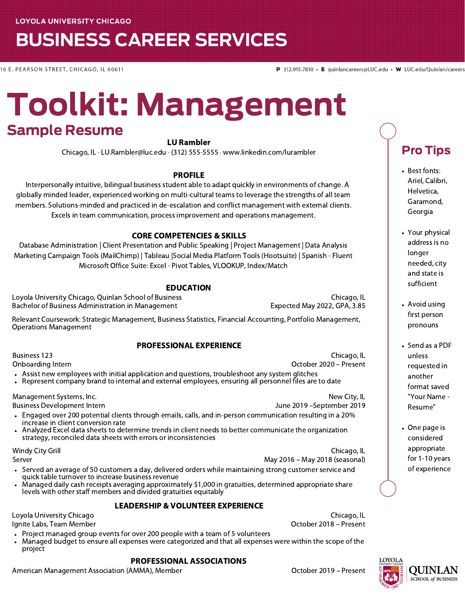## **BUSINESS CAREER SERVICES**

16 E. PEARSON STREET, CHICAGO, IL 60611

# Toolkit: Management Sample Resume

#### LU Rambler

Chicago, IL · LU.Rambler@luc.edu · (312) 555-5555 · www.linkedin.com/lurambler

#### PROFILE

Interpersonally intuitive, bilingual business student able to adapt quickly in environments of change. A globally minded leader, experienced working on multi-cultural teams to leverage the strengths of all team members. Solutions-minded and practiced in de-escalation and conflict management with external clients. Excels in team communication, process improvement and operations management.

#### CORE COMPETENCIES & SKILLS

Database Administration | Client Presentation and Public Speaking | Project Management | Data Analysis Marketing Campaign Tools (MailChimp) | Tableau |Social Media Platform Tools (Hootsuite) | Spanish - Fluent Microsoft Office Suite: Excel - Pivot Tables, VLOOKUP, Index/Match

#### EDUCATION

Loyola University Chicago, Quinlan School of Business Chicago, IL Bachelor of Business Administration in Management **Expected May 2022, GPA, 3.85** 

Relevant Coursework: Strategic Management, Business Statistics, Financial Accounting, Portfolio Management, Operations Management

#### PROFESSIONAL EXPERIENCE

Business 123

Onboarding Intern

- Assist new employees with initial application and questions, troubleshoot any system glitches
- Represent company brand to internal and external employees, ensuring all personnel files are to date

Management Systems, Inc.

Business Development Intern

- Engaged over 200 potential clients through emails, calls, and in-person communication resulting in a 20% increase in client conversion rate
- Analyzed Excel data sheets to determine trends in client needs to better communicate the organization strategy, reconciled data sheets with errors or inconsistencies

Windy City Grill Server

Chicago, IL May 2016 – May 2018 (seasonal)

June 2019 –September 2019

October 2020 – Present

- Served an average of 50 customers a day, delivered orders while maintaining strong customer service and quick table turnover to increase business revenue
- Managed daily cash receipts averaging approximately \$1,000 in gratuities, determined appropriate share levels with other staff members and divided gratuities equitably

#### LEADERSHIP & VOLUNTEER EXPERIENCE

Loyola University Chicago Ignite Labs, Team Member

- Project managed group events for over 200 people with a team of 5 volunteers
- Managed budget to ensure all expenses were categorized and that all expenses were within the scope of the project

#### PROFESSIONAL ASSOCIATIONS

American Management Association (AMMA), Member **Canadian Communist Contract Control** Cotober 2019 – Present

Chicago, IL October 2018 – Present

New City, IL

Chicago, IL

Garamond, Georgia

> Your physical address is no longer needed, city and state is sufficient

Pro Tips

• Best fonts: Ariel, Calibri, Helvetica,

- Avoid using first person pronouns
- Send as a PDF unless requested in another format saved "Your Name - Resume"
- One page is considered appropriate for 1-10 years of experience